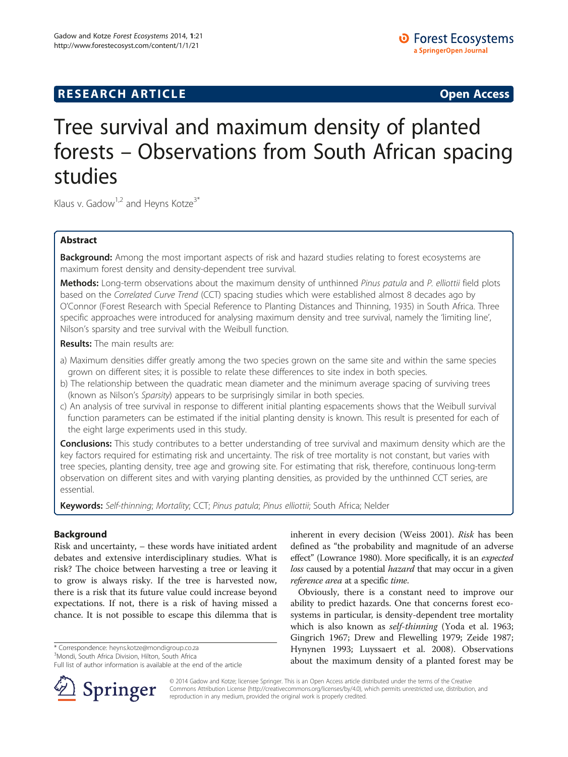## **RESEARCH ARTICLE Example 2014 CONSUMING A RESEARCH ARTICLE**

# Tree survival and maximum density of planted forests – Observations from South African spacing studies

Klaus v. Gadow<sup>1,2</sup> and Heyns Kotze<sup>3\*</sup>

## Abstract

Background: Among the most important aspects of risk and hazard studies relating to forest ecosystems are maximum forest density and density-dependent tree survival.

Methods: Long-term observations about the maximum density of unthinned Pinus patula and P. elliottii field plots based on the Correlated Curve Trend (CCT) spacing studies which were established almost 8 decades ago by O'Connor (Forest Research with Special Reference to Planting Distances and Thinning, 1935) in South Africa. Three specific approaches were introduced for analysing maximum density and tree survival, namely the 'limiting line', Nilson's sparsity and tree survival with the Weibull function.

Results: The main results are:

- a) Maximum densities differ greatly among the two species grown on the same site and within the same species grown on different sites; it is possible to relate these differences to site index in both species.
- b) The relationship between the quadratic mean diameter and the minimum average spacing of surviving trees (known as Nilson's Sparsity) appears to be surprisingly similar in both species.
- c) An analysis of tree survival in response to different initial planting espacements shows that the Weibull survival function parameters can be estimated if the initial planting density is known. This result is presented for each of the eight large experiments used in this study.

**Conclusions:** This study contributes to a better understanding of tree survival and maximum density which are the key factors required for estimating risk and uncertainty. The risk of tree mortality is not constant, but varies with tree species, planting density, tree age and growing site. For estimating that risk, therefore, continuous long-term observation on different sites and with varying planting densities, as provided by the unthinned CCT series, are essential.

Keywords: Self-thinning; Mortality; CCT; Pinus patula; Pinus elliottii; South Africa; Nelder

## Background

Risk and uncertainty, – these words have initiated ardent debates and extensive interdisciplinary studies. What is risk? The choice between harvesting a tree or leaving it to grow is always risky. If the tree is harvested now, there is a risk that its future value could increase beyond expectations. If not, there is a risk of having missed a chance. It is not possible to escape this dilemma that is

\* Correspondence: [heyns.kotze@mondigroup.co.za](mailto:heyns.kotze@mondigroup.co.za) <sup>3</sup>

Full list of author information is available at the end of the article



inherent in every decision (Weiss [2001\)](#page-8-0). Risk has been defined as "the probability and magnitude of an adverse effect" (Lowrance [1980](#page-8-0)). More specifically, it is an expected loss caused by a potential hazard that may occur in a given reference area at a specific time.

Obviously, there is a constant need to improve our ability to predict hazards. One that concerns forest ecosystems in particular, is density-dependent tree mortality which is also known as self-thinning (Yoda et al. [1963](#page-8-0); Gingrich [1967;](#page-7-0) Drew and Flewelling [1979;](#page-7-0) Zeide [1987](#page-8-0); Hynynen [1993](#page-7-0); Luyssaert et al. [2008\)](#page-8-0). Observations about the maximum density of a planted forest may be

© 2014 Gadow and Kotze; licensee Springer. This is an Open Access article distributed under the terms of the Creative Commons Attribution License (<http://creativecommons.org/licenses/by/4.0>), which permits unrestricted use, distribution, and reproduction in any medium, provided the original work is properly credited.

<sup>&</sup>lt;sup>3</sup>Mondi, South Africa Division, Hilton, South Africa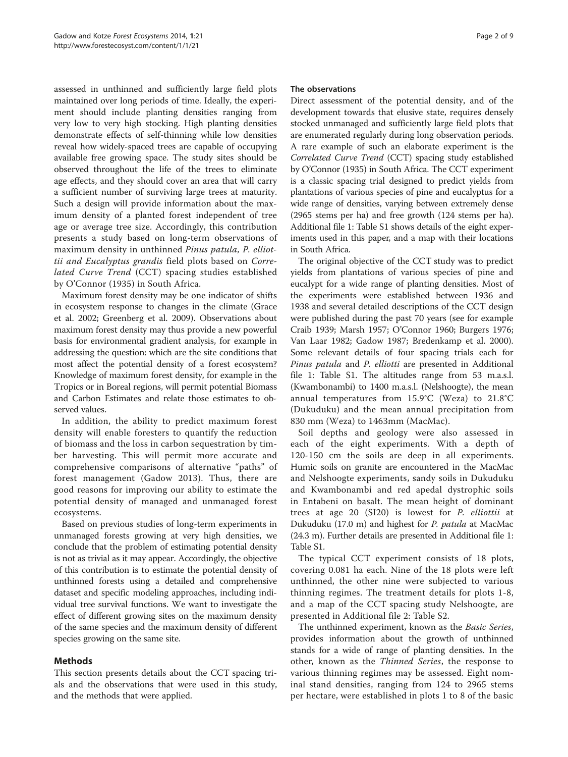assessed in unthinned and sufficiently large field plots maintained over long periods of time. Ideally, the experiment should include planting densities ranging from very low to very high stocking. High planting densities demonstrate effects of self-thinning while low densities reveal how widely-spaced trees are capable of occupying available free growing space. The study sites should be observed throughout the life of the trees to eliminate age effects, and they should cover an area that will carry a sufficient number of surviving large trees at maturity. Such a design will provide information about the maximum density of a planted forest independent of tree age or average tree size. Accordingly, this contribution presents a study based on long-term observations of maximum density in unthinned Pinus patula, P. elliottii and Eucalyptus grandis field plots based on Correlated Curve Trend (CCT) spacing studies established by O'Connor ([1935\)](#page-8-0) in South Africa.

Maximum forest density may be one indicator of shifts in ecosystem response to changes in the climate (Grace et al. [2002](#page-7-0); Greenberg et al. [2009\)](#page-7-0). Observations about maximum forest density may thus provide a new powerful basis for environmental gradient analysis, for example in addressing the question: which are the site conditions that most affect the potential density of a forest ecosystem? Knowledge of maximum forest density, for example in the Tropics or in Boreal regions, will permit potential Biomass and Carbon Estimates and relate those estimates to observed values.

In addition, the ability to predict maximum forest density will enable foresters to quantify the reduction of biomass and the loss in carbon sequestration by timber harvesting. This will permit more accurate and comprehensive comparisons of alternative "paths" of forest management (Gadow [2013](#page-7-0)). Thus, there are good reasons for improving our ability to estimate the potential density of managed and unmanaged forest ecosystems.

Based on previous studies of long-term experiments in unmanaged forests growing at very high densities, we conclude that the problem of estimating potential density is not as trivial as it may appear. Accordingly, the objective of this contribution is to estimate the potential density of unthinned forests using a detailed and comprehensive dataset and specific modeling approaches, including individual tree survival functions. We want to investigate the effect of different growing sites on the maximum density of the same species and the maximum density of different species growing on the same site.

## Methods

This section presents details about the CCT spacing trials and the observations that were used in this study, and the methods that were applied.

#### The observations

Direct assessment of the potential density, and of the development towards that elusive state, requires densely stocked unmanaged and sufficiently large field plots that are enumerated regularly during long observation periods. A rare example of such an elaborate experiment is the Correlated Curve Trend (CCT) spacing study established by O'Connor [\(1935\)](#page-8-0) in South Africa. The CCT experiment is a classic spacing trial designed to predict yields from plantations of various species of pine and eucalyptus for a wide range of densities, varying between extremely dense (2965 stems per ha) and free growth (124 stems per ha). Additional file [1](#page-7-0): Table S1 shows details of the eight experiments used in this paper, and a map with their locations in South Africa.

The original objective of the CCT study was to predict yields from plantations of various species of pine and eucalypt for a wide range of planting densities. Most of the experiments were established between 1936 and 1938 and several detailed descriptions of the CCT design were published during the past 70 years (see for example Craib [1939](#page-7-0); Marsh [1957;](#page-8-0) O'Connor [1960;](#page-8-0) Burgers [1976](#page-7-0); Van Laar [1982](#page-8-0); Gadow [1987](#page-7-0); Bredenkamp et al. [2000](#page-7-0)). Some relevant details of four spacing trials each for Pinus patula and P. elliotti are presented in Additional file [1:](#page-7-0) Table S1. The altitudes range from 53 m.a.s.l. (Kwambonambi) to 1400 m.a.s.l. (Nelshoogte), the mean annual temperatures from 15.9°C (Weza) to 21.8°C (Dukuduku) and the mean annual precipitation from 830 mm (Weza) to 1463mm (MacMac).

Soil depths and geology were also assessed in each of the eight experiments. With a depth of 120-150 cm the soils are deep in all experiments. Humic soils on granite are encountered in the MacMac and Nelshoogte experiments, sandy soils in Dukuduku and Kwambonambi and red apedal dystrophic soils in Entabeni on basalt. The mean height of dominant trees at age 20 (SI20) is lowest for P. elliottii at Dukuduku (17.0 m) and highest for P. patula at MacMac (24.3 m). Further details are presented in Additional file [1](#page-7-0): Table S1.

The typical CCT experiment consists of 18 plots, covering 0.081 ha each. Nine of the 18 plots were left unthinned, the other nine were subjected to various thinning regimes. The treatment details for plots 1-8, and a map of the CCT spacing study Nelshoogte, are presented in Additional file [2](#page-7-0): Table S2.

The unthinned experiment, known as the Basic Series, provides information about the growth of unthinned stands for a wide of range of planting densities. In the other, known as the Thinned Series, the response to various thinning regimes may be assessed. Eight nominal stand densities, ranging from 124 to 2965 stems per hectare, were established in plots 1 to 8 of the basic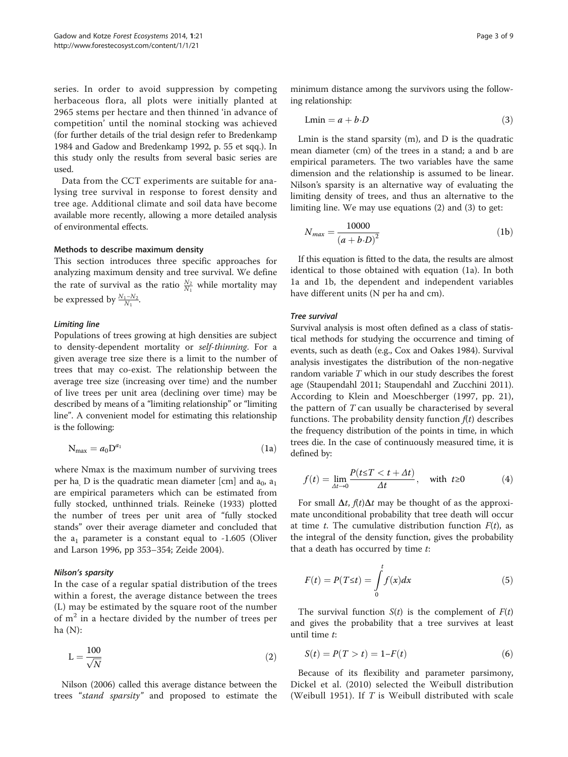<span id="page-2-0"></span>series. In order to avoid suppression by competing herbaceous flora, all plots were initially planted at 2965 stems per hectare and then thinned 'in advance of competition' until the nominal stocking was achieved (for further details of the trial design refer to Bredenkamp [1984](#page-7-0) and Gadow and Bredenkamp [1992](#page-7-0), p. 55 et sqq.). In this study only the results from several basic series are used.

Data from the CCT experiments are suitable for analysing tree survival in response to forest density and tree age. Additional climate and soil data have become available more recently, allowing a more detailed analysis of environmental effects.

#### Methods to describe maximum density

This section introduces three specific approaches for analyzing maximum density and tree survival. We define the rate of survival as the ratio  $\frac{N_2}{N_1}$  while mortality may be expressed by  $\frac{N_1-N_2}{N_1}$ .

#### Limiting line

Populations of trees growing at high densities are subject to density-dependent mortality or self-thinning. For a given average tree size there is a limit to the number of trees that may co-exist. The relationship between the average tree size (increasing over time) and the number of live trees per unit area (declining over time) may be described by means of a "limiting relationship" or "limiting line". A convenient model for estimating this relationship is the following:

$$
N_{\text{max}} = a_0 D^{a_1} \tag{1a}
$$

where Nmax is the maximum number of surviving trees per ha<sub>,</sub> D is the quadratic mean diameter [cm] and  $a_0$ ,  $a_1$ are empirical parameters which can be estimated from fully stocked, unthinned trials. Reineke ([1933](#page-8-0)) plotted the number of trees per unit area of "fully stocked stands" over their average diameter and concluded that the  $a_1$  parameter is a constant equal to -1.605 (Oliver and Larson [1996](#page-8-0), pp 353–354; Zeide [2004\)](#page-8-0).

## Nilson's sparsity

In the case of a regular spatial distribution of the trees within a forest, the average distance between the trees (L) may be estimated by the square root of the number of  $m<sup>2</sup>$  in a hectare divided by the number of trees per ha $(N)$ :

$$
L = \frac{100}{\sqrt{N}}\tag{2}
$$

Nilson [\(2006\)](#page-8-0) called this average distance between the trees "stand sparsity" and proposed to estimate the minimum distance among the survivors using the following relationship:

$$
Lmin = a + b \cdot D \tag{3}
$$

Lmin is the stand sparsity (m), and D is the quadratic mean diameter (cm) of the trees in a stand; a and b are empirical parameters. The two variables have the same dimension and the relationship is assumed to be linear. Nilson's sparsity is an alternative way of evaluating the limiting density of trees, and thus an alternative to the limiting line. We may use equations (2) and (3) to get:

$$
N_{max} = \frac{10000}{(a + b \cdot D)^2}
$$
 (1b)

If this equation is fitted to the data, the results are almost identical to those obtained with equation (1a). In both 1a and 1b, the dependent and independent variables have different units (N per ha and cm).

## Tree survival

Survival analysis is most often defined as a class of statistical methods for studying the occurrence and timing of events, such as death (e.g., Cox and Oakes [1984](#page-7-0)). Survival analysis investigates the distribution of the non-negative random variable T which in our study describes the forest age (Staupendahl [2011](#page-8-0); Staupendahl and Zucchini [2011](#page-8-0)). According to Klein and Moeschberger ([1997,](#page-8-0) pp. 21), the pattern of  $T$  can usually be characterised by several functions. The probability density function  $f(t)$  describes the frequency distribution of the points in time, in which trees die. In the case of continuously measured time, it is defined by:

$$
f(t) = \lim_{\Delta t \to 0} \frac{P(t \le T < t + \Delta t)}{\Delta t}, \quad \text{with } t \ge 0
$$
 (4)

For small  $\Delta t$ ,  $f(t)\Delta t$  may be thought of as the approximate unconditional probability that tree death will occur at time t. The cumulative distribution function  $F(t)$ , as the integral of the density function, gives the probability that a death has occurred by time t:

$$
F(t) = P(T \le t) = \int_{0}^{t} f(x) dx
$$
\n(5)

The survival function  $S(t)$  is the complement of  $F(t)$ and gives the probability that a tree survives at least until time t:

$$
S(t) = P(T > t) = 1 - F(t)
$$
\n(6)

Because of its flexibility and parameter parsimony, Dickel et al. ([2010\)](#page-7-0) selected the Weibull distribution (Weibull [1951](#page-8-0)). If  $T$  is Weibull distributed with scale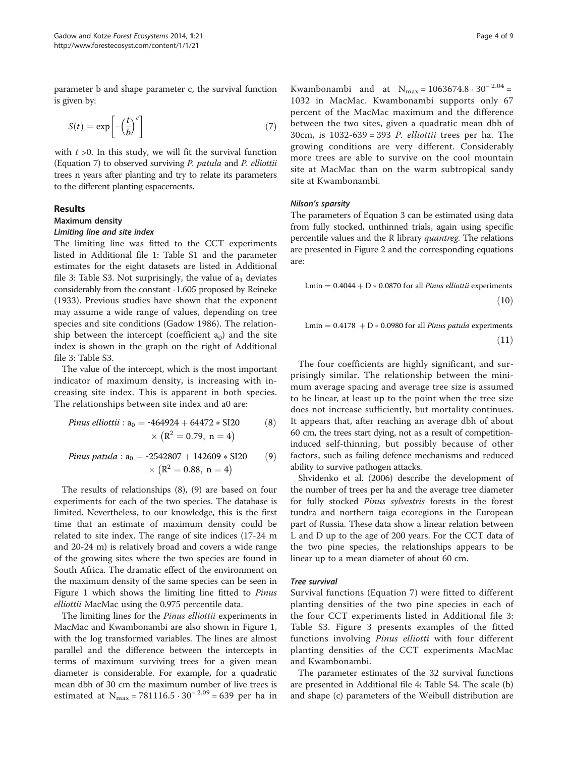parameter b and shape parameter c, the survival function is given by:

$$
S(t) = \exp\left[-\left(\frac{t}{b}\right)^c\right] \tag{7}
$$

with  $t > 0$ . In this study, we will fit the survival function (Equation 7) to observed surviving P. patula and P. elliottii trees n years after planting and try to relate its parameters to the different planting espacements.

## Results

## Maximum density

#### Limiting line and site index

The limiting line was fitted to the CCT experiments listed in Additional file [1:](#page-7-0) Table S1 and the parameter estimates for the eight datasets are listed in Additional file [3](#page-7-0): Table S3. Not surprisingly, the value of  $a_1$  deviates considerably from the constant -1.605 proposed by Reineke ([1933\)](#page-8-0). Previous studies have shown that the exponent may assume a wide range of values, depending on tree species and site conditions (Gadow [1986\)](#page-7-0). The relationship between the intercept (coefficient  $a_0$ ) and the site index is shown in the graph on the right of Additional file [3](#page-7-0): Table S3.

The value of the intercept, which is the most important indicator of maximum density, is increasing with increasing site index. This is apparent in both species. The relationships between site index and a0 are:

Pinus elliottii : 
$$
a_0 = -464924 + 64472 * SI20
$$
 (8)  
×  $(R^2 = 0.79, n = 4)$ 

*Pinus patula* : 
$$
a_0 = -2542807 + 142609 * SI20
$$
 (9)  
  $\times (R^2 = 0.88, n = 4)$ 

The results of relationships (8), (9) are based on four experiments for each of the two species. The database is limited. Nevertheless, to our knowledge, this is the first time that an estimate of maximum density could be related to site index. The range of site indices (17-24 m and 20-24 m) is relatively broad and covers a wide range of the growing sites where the two species are found in South Africa. The dramatic effect of the environment on the maximum density of the same species can be seen in Figure [1](#page-4-0) which shows the limiting line fitted to *Pinus* elliottii MacMac using the 0.975 percentile data.

The limiting lines for the Pinus elliottii experiments in MacMac and Kwambonambi are also shown in Figure [1](#page-4-0), with the log transformed variables. The lines are almost parallel and the difference between the intercepts in terms of maximum surviving trees for a given mean diameter is considerable. For example, for a quadratic mean dbh of 30 cm the maximum number of live trees is estimated at  $N_{\text{max}} = 781116.5 \cdot 30^{-2.09} = 639$  per ha in

Kwambonambi and at  $N_{\text{max}} = 1063674.8 \cdot 30^{-2.04}$  = 1032 in MacMac. Kwambonambi supports only 67 percent of the MacMac maximum and the difference between the two sites, given a quadratic mean dbh of 30cm, is 1032-639 = 393 P. elliottii trees per ha. The growing conditions are very different. Considerably more trees are able to survive on the cool mountain site at MacMac than on the warm subtropical sandy site at Kwambonambi.

#### Nilson's sparsity

The parameters of Equation [3](#page-2-0) can be estimated using data from fully stocked, unthinned trials, again using specific percentile values and the R library quantreg. The relations are presented in Figure [2](#page-4-0) and the corresponding equations are:

Lmin = 
$$
0.4044 + D * 0.0870
$$
 for all *Pinus elliptiti* experiments  
(10)

Lmin = 
$$
0.4178 + D * 0.0980
$$
 for all *Pinus patula* experiments  
(11)

The four coefficients are highly significant, and surprisingly similar. The relationship between the minimum average spacing and average tree size is assumed to be linear, at least up to the point when the tree size does not increase sufficiently, but mortality continues. It appears that, after reaching an average dbh of about 60 cm, the trees start dying, not as a result of competitioninduced self-thinning, but possibly because of other factors, such as failing defence mechanisms and reduced ability to survive pathogen attacks.

Shvidenko et al. [\(2006](#page-8-0)) describe the development of the number of trees per ha and the average tree diameter for fully stocked Pinus sylvestris forests in the forest tundra and northern taiga ecoregions in the European part of Russia. These data show a linear relation between L and D up to the age of 200 years. For the CCT data of the two pine species, the relationships appears to be linear up to a mean diameter of about 60 cm.

#### Tree survival

Survival functions (Equation 7) were fitted to different planting densities of the two pine species in each of the four CCT experiments listed in Additional file [3](#page-7-0): Table S3. Figure [3](#page-5-0) presents examples of the fitted functions involving Pinus elliotti with four different planting densities of the CCT experiments MacMac and Kwambonambi.

The parameter estimates of the 32 survival functions are presented in Additional file [4](#page-7-0): Table S4. The scale (b) and shape (c) parameters of the Weibull distribution are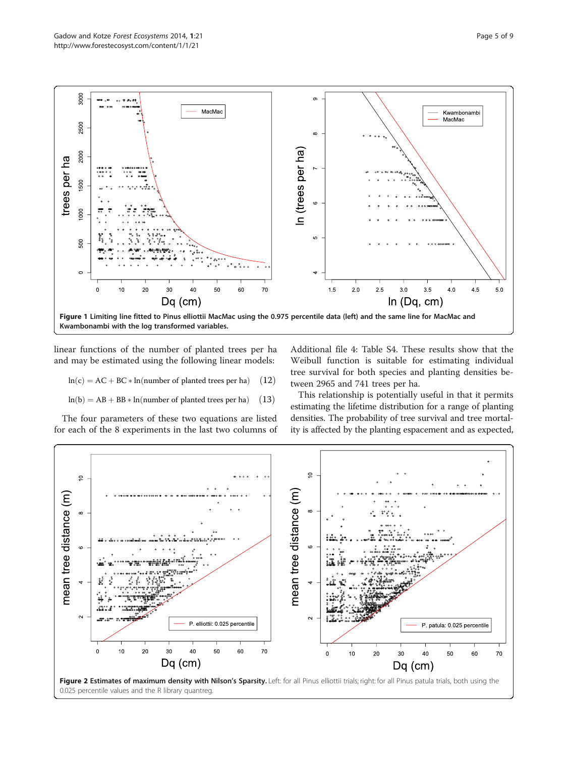<span id="page-4-0"></span>

linear functions of the number of planted trees per ha and may be estimated using the following linear models:

- $\ln(c) = AC + BC * \ln(number$  of planted trees per ha $(12)$
- $\ln(b) = AB + BB * \ln(number$  of planted trees per ha $(13)$

The four parameters of these two equations are listed for each of the 8 experiments in the last two columns of

Additional file [4](#page-7-0): Table S4. These results show that the Weibull function is suitable for estimating individual tree survival for both species and planting densities between 2965 and 741 trees per ha.

This relationship is potentially useful in that it permits estimating the lifetime distribution for a range of planting densities. The probability of tree survival and tree mortality is affected by the planting espacement and as expected,

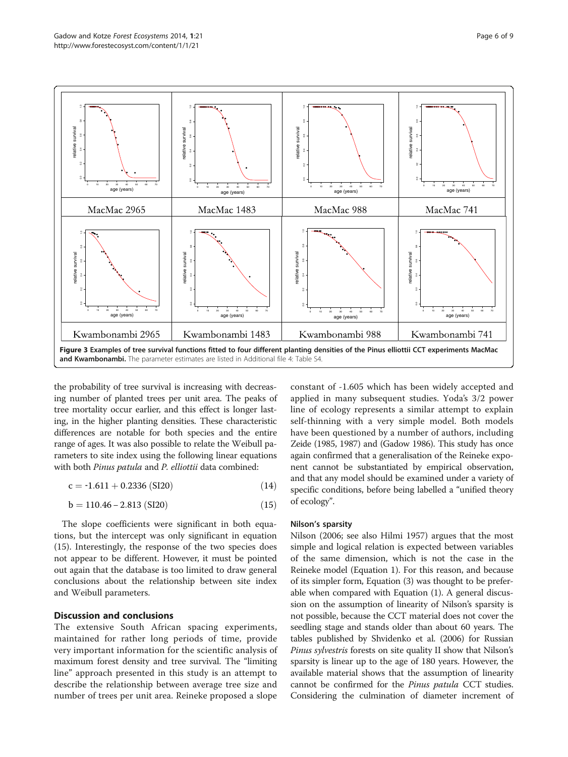<span id="page-5-0"></span>

the probability of tree survival is increasing with decreasing number of planted trees per unit area. The peaks of tree mortality occur earlier, and this effect is longer lasting, in the higher planting densities. These characteristic differences are notable for both species and the entire range of ages. It was also possible to relate the Weibull parameters to site index using the following linear equations with both Pinus patula and P. elliottii data combined:

$$
c = -1.611 + 0.2336 \text{ (S120)}\tag{14}
$$

$$
b = 110.46 - 2.813 \text{ (SI20)}\tag{15}
$$

The slope coefficients were significant in both equations, but the intercept was only significant in equation (15). Interestingly, the response of the two species does not appear to be different. However, it must be pointed out again that the database is too limited to draw general conclusions about the relationship between site index and Weibull parameters.

## Discussion and conclusions

The extensive South African spacing experiments, maintained for rather long periods of time, provide very important information for the scientific analysis of maximum forest density and tree survival. The "limiting line" approach presented in this study is an attempt to describe the relationship between average tree size and number of trees per unit area. Reineke proposed a slope

constant of -1.605 which has been widely accepted and applied in many subsequent studies. Yoda's 3/2 power line of ecology represents a similar attempt to explain self-thinning with a very simple model. Both models have been questioned by a number of authors, including Zeide ([1985](#page-8-0), [1987](#page-8-0)) and (Gadow [1986](#page-7-0)). This study has once again confirmed that a generalisation of the Reineke exponent cannot be substantiated by empirical observation, and that any model should be examined under a variety of specific conditions, before being labelled a "unified theory of ecology".

## Nilson's sparsity

Nilson [\(2006;](#page-8-0) see also Hilmi [1957\)](#page-7-0) argues that the most simple and logical relation is expected between variables of the same dimension, which is not the case in the Reineke model (Equation [1\)](#page-2-0). For this reason, and because of its simpler form, Equation [\(3\)](#page-2-0) was thought to be preferable when compared with Equation [\(1\)](#page-2-0). A general discussion on the assumption of linearity of Nilson's sparsity is not possible, because the CCT material does not cover the seedling stage and stands older than about 60 years. The tables published by Shvidenko et al. ([2006\)](#page-8-0) for Russian Pinus sylvestris forests on site quality II show that Nilson's sparsity is linear up to the age of 180 years. However, the available material shows that the assumption of linearity cannot be confirmed for the Pinus patula CCT studies. Considering the culmination of diameter increment of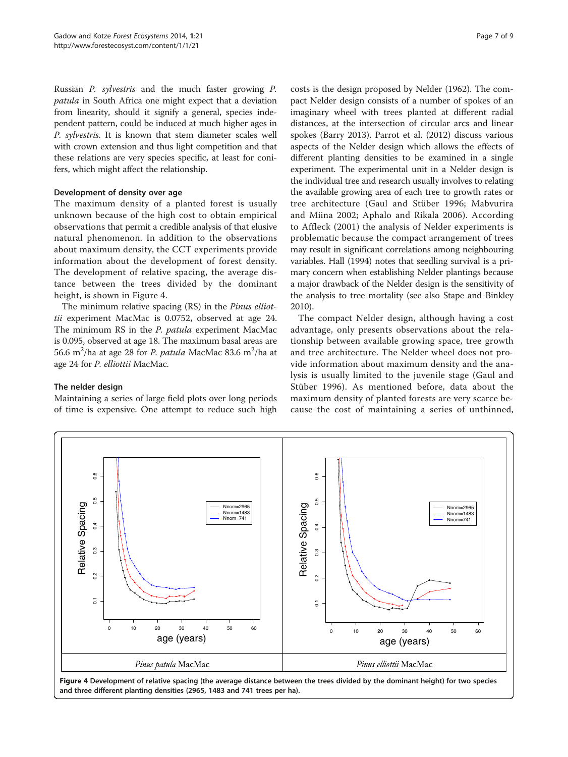Russian P. sylvestris and the much faster growing P. patula in South Africa one might expect that a deviation from linearity, should it signify a general, species independent pattern, could be induced at much higher ages in P. sylvestris. It is known that stem diameter scales well with crown extension and thus light competition and that these relations are very species specific, at least for conifers, which might affect the relationship.

## Development of density over age

The maximum density of a planted forest is usually unknown because of the high cost to obtain empirical observations that permit a credible analysis of that elusive natural phenomenon. In addition to the observations about maximum density, the CCT experiments provide information about the development of forest density. The development of relative spacing, the average distance between the trees divided by the dominant height, is shown in Figure 4.

The minimum relative spacing (RS) in the *Pinus elliot*tii experiment MacMac is 0.0752, observed at age 24. The minimum RS in the P. patula experiment MacMac is 0.095, observed at age 18. The maximum basal areas are 56.6 m<sup>2</sup>/ha at age 28 for *P. patula* MacMac 83.6 m<sup>2</sup>/ha at age 24 for P. elliottii MacMac.

## The nelder design

Maintaining a series of large field plots over long periods of time is expensive. One attempt to reduce such high

costs is the design proposed by Nelder ([1962\)](#page-8-0). The compact Nelder design consists of a number of spokes of an imaginary wheel with trees planted at different radial distances, at the intersection of circular arcs and linear spokes (Barry [2013](#page-7-0)). Parrot et al. [\(2012\)](#page-8-0) discuss various aspects of the Nelder design which allows the effects of different planting densities to be examined in a single experiment. The experimental unit in a Nelder design is the individual tree and research usually involves to relating the available growing area of each tree to growth rates or tree architecture (Gaul and Stüber [1996;](#page-7-0) Mabvurira and Miina [2002;](#page-8-0) Aphalo and Rikala [2006\)](#page-7-0). According to Affleck [\(2001\)](#page-7-0) the analysis of Nelder experiments is problematic because the compact arrangement of trees may result in significant correlations among neighbouring variables. Hall ([1994](#page-7-0)) notes that seedling survival is a primary concern when establishing Nelder plantings because a major drawback of the Nelder design is the sensitivity of the analysis to tree mortality (see also Stape and Binkley [2010\)](#page-8-0).

The compact Nelder design, although having a cost advantage, only presents observations about the relationship between available growing space, tree growth and tree architecture. The Nelder wheel does not provide information about maximum density and the analysis is usually limited to the juvenile stage (Gaul and Stüber [1996](#page-7-0)). As mentioned before, data about the maximum density of planted forests are very scarce because the cost of maintaining a series of unthinned,



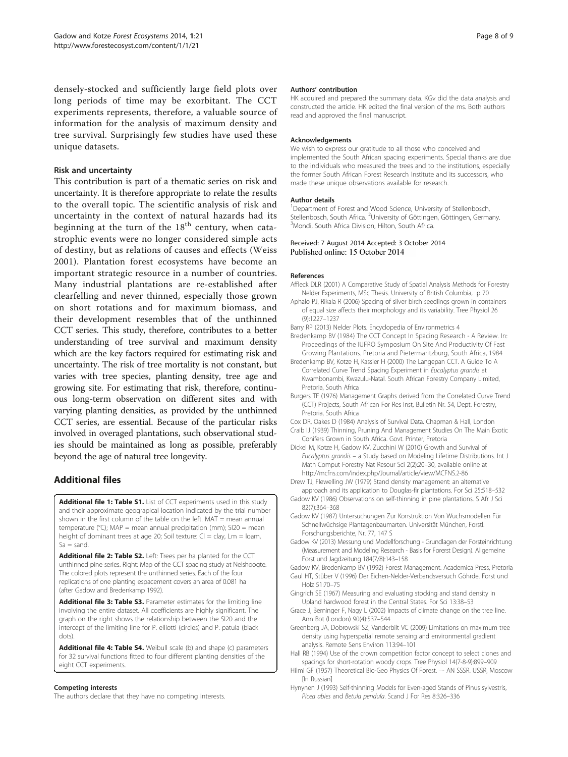<span id="page-7-0"></span>densely-stocked and sufficiently large field plots over long periods of time may be exorbitant. The CCT experiments represents, therefore, a valuable source of information for the analysis of maximum density and tree survival. Surprisingly few studies have used these unique datasets.

## Risk and uncertainty

This contribution is part of a thematic series on risk and uncertainty. It is therefore appropriate to relate the results to the overall topic. The scientific analysis of risk and uncertainty in the context of natural hazards had its beginning at the turn of the  $18<sup>th</sup>$  century, when catastrophic events were no longer considered simple acts of destiny, but as relations of causes and effects (Weiss [2001](#page-8-0)). Plantation forest ecosystems have become an important strategic resource in a number of countries. Many industrial plantations are re-established after clearfelling and never thinned, especially those grown on short rotations and for maximum biomass, and their development resembles that of the unthinned CCT series. This study, therefore, contributes to a better understanding of tree survival and maximum density which are the key factors required for estimating risk and uncertainty. The risk of tree mortality is not constant, but varies with tree species, planting density, tree age and growing site. For estimating that risk, therefore, continuous long-term observation on different sites and with varying planting densities, as provided by the unthinned CCT series, are essential. Because of the particular risks involved in overaged plantations, such observational studies should be maintained as long as possible, preferably beyond the age of natural tree longevity.

## Additional files

[Additional file 1: Table S1.](http://www.forestecosyst.com/content/supplementary/s40663-014-0021-4-s1.docx) List of CCT experiments used in this study and their approximate geograpical location indicated by the trial number shown in the first column of the table on the left.  $MAT = mean$  annual temperature ( $^{\circ}$ C); MAP = mean annual precipitation (mm); SI20 = mean height of dominant trees at age 20; Soil texture: Cl = clay, Lm = loam,  $Sa = sand$ .

[Additional file 2: Table S2.](http://www.forestecosyst.com/content/supplementary/s40663-014-0021-4-s2.docx) Left: Trees per ha planted for the CCT unthinned pine series. Right: Map of the CCT spacing study at Nelshoogte. The colored plots represent the unthinned series. Each of the four replications of one planting espacement covers an area of 0.081 ha (after Gadow and Bredenkamp 1992).

[Additional file 3: Table S3.](http://www.forestecosyst.com/content/supplementary/s40663-014-0021-4-s3.docx) Parameter estimates for the limiting line involving the entire dataset. All coefficients are highly significant. The graph on the right shows the relationship between the SI20 and the intercept of the limiting line for P. elliotti (circles) and P. patula (black dots).

[Additional file 4: Table S4.](http://www.forestecosyst.com/content/supplementary/s40663-014-0021-4-s4.docx) Weibull scale (b) and shape (c) parameters for 32 survival functions fitted to four different planting densities of the eight CCT experiments.

#### Competing interests

The authors declare that they have no competing interests.

#### Authors' contribution

HK acquired and prepared the summary data. KGv did the data analysis and constructed the article. HK edited the final version of the ms. Both authors read and approved the final manuscript.

#### Acknowledgements

We wish to express our gratitude to all those who conceived and implemented the South African spacing experiments. Special thanks are due to the individuals who measured the trees and to the institutions, especially the former South African Forest Research Institute and its successors, who made these unique observations available for research.

#### Author details

<sup>1</sup>Department of Forest and Wood Science, University of Stellenbosch, Stellenbosch, South Africa. <sup>2</sup>University of Göttingen, Göttingen, Germany.<br><sup>3</sup>Mondi, South Africa Division, Hilton, South Africa. <sup>3</sup>Mondi, South Africa Division, Hilton, South Africa.

#### Received: 7 August 2014 Accepted: 3 October 2014 Published online: 15 October 2014

#### References

- Affleck DLR (2001) A Comparative Study of Spatial Analysis Methods for Forestry Nelder Experiments, MSc Thesis. University of British Columbia, p 70
- Aphalo PJ, Rikala R (2006) Spacing of silver birch seedlings grown in containers of equal size affects their morphology and its variability. Tree Physiol 26 (9):1227–1237
- Barry RP (2013) Nelder Plots. Encyclopedia of Environmetrics 4
- Bredenkamp BV (1984) The CCT Concept In Spacing Research A Review. In: Proceedings of the IUFRO Symposium On Site And Productivity Of Fast Growing Plantations. Pretoria and Pietermaritzburg, South Africa, 1984
- Bredenkamp BV, Kotze H, Kassier H (2000) The Langepan CCT. A Guide To A Correlated Curve Trend Spacing Experiment in Eucalyptus grandis at Kwambonambi, Kwazulu-Natal. South African Forestry Company Limited, Pretoria, South Africa
- Burgers TF (1976) Management Graphs derived from the Correlated Curve Trend (CCT) Projects, South African For Res Inst, Bulletin Nr. 54, Dept. Forestry, Pretoria, South Africa
- Cox DR, Oakes D (1984) Analysis of Survival Data. Chapman & Hall, London
- Craib IJ (1939) Thinning, Pruning And Management Studies On The Main Exotic Conifers Grown in South Africa. Govt. Printer, Pretoria
- Dickel M, Kotze H, Gadow KV, Zucchini W (2010) Growth and Survival of Eucalyptus grandis – a Study based on Modeling Lifetime Distributions. Int J Math Comput Forestry Nat Resour Sci 2(2):20–30, available online at <http://mcfns.com/index.php/Journal/article/view/MCFNS.2-86>
- Drew TJ, Flewelling JW (1979) Stand density management: an alternative approach and its application to Douglas-fir plantations. For Sci 25:518–532
- Gadow KV (1986) Observations on self-thinning in pine plantations. S Afr J Sci 82(7):364–368
- Gadow KV (1987) Untersuchungen Zur Konstruktion Von Wuchsmodellen Für Schnellwüchsige Plantagenbaumarten. Universität München, Forstl. Forschungsberichte, Nr. 77, 147 S
- Gadow KV (2013) Messung und Modellforschung Grundlagen der Forsteinrichtung (Measurement and Modeling Research - Basis for Forerst Design). Allgemeine Forst und Jagdzeitung 184(7/8):143–158
- Gadow KV, Bredenkamp BV (1992) Forest Management. Academica Press, Pretoria Gaul HT, Stüber V (1996) Der Eichen-Nelder-Verbandsversuch Göhrde. Forst und Holz 51:70–75
- Gingrich SE (1967) Measuring and evaluating stocking and stand density in Upland hardwood forest in the Central States. For Sci 13:38–53
- Grace J, Berninger F, Nagy L (2002) Impacts of climate change on the tree line. Ann Bot (London) 90(4):537–544
- Greenberg JA, Dobrowski SZ, Vanderbilt VC (2009) Limitations on maximum tree density using hyperspatial remote sensing and environmental gradient analysis. Remote Sens Environ 113:94–101
- Hall RB (1994) Use of the crown competition factor concept to select clones and spacings for short-rotation woody crops. Tree Physiol 14(7-8-9):899–909
- Hilmi GF (1957) Theoretical Bio-Geo Physics Of Forest. –- AN SSSR. USSR, Moscow [In Russian]
- Hynynen J (1993) Self-thinning Models for Even-aged Stands of Pinus sylvestris, Picea abies and Betula pendula. Scand J For Res 8:326–336